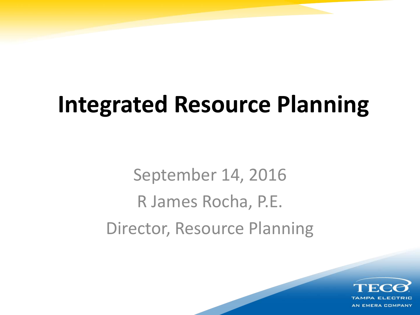## **Integrated Resource Planning**

September 14, 2016 R James Rocha, P.E. Director, Resource Planning

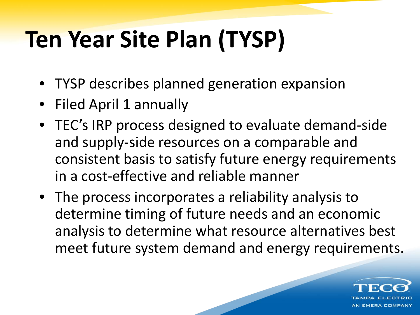# **Ten Year Site Plan (TYSP)**

- TYSP describes planned generation expansion
- Filed April 1 annually
- TEC's IRP process designed to evaluate demand-side and supply-side resources on a comparable and consistent basis to satisfy future energy requirements in a cost-effective and reliable manner
- The process incorporates a reliability analysis to determine timing of future needs and an economic analysis to determine what resource alternatives best meet future system demand and energy requirements.

**EMERA COMPANY**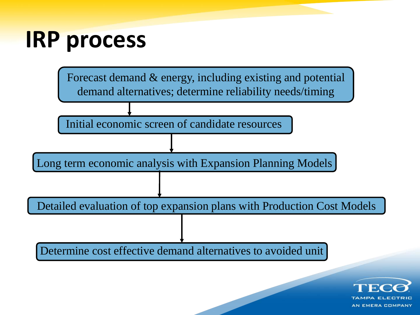#### **IRP process**



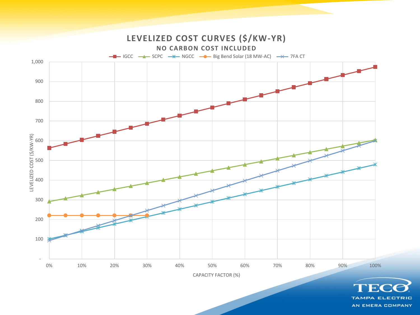

AN EMERA COMPANY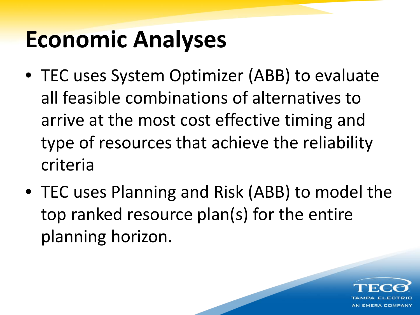## **Economic Analyses**

- TEC uses System Optimizer (ABB) to evaluate all feasible combinations of alternatives to arrive at the most cost effective timing and type of resources that achieve the reliability criteria
- TEC uses Planning and Risk (ABB) to model the top ranked resource plan(s) for the entire planning horizon.